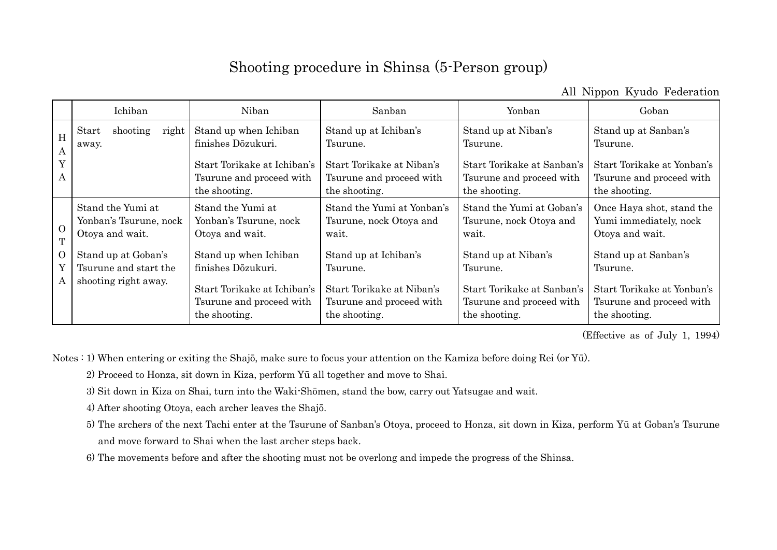## Shooting procedure in Shinsa (5-Person group)

All Nippon Kyudo Federation

|                          | Ichiban                                                              | Niban                                                                                                                   | Sanban                                                                                                      | Yonban                                                                                                     | Goban                                                                                                       |
|--------------------------|----------------------------------------------------------------------|-------------------------------------------------------------------------------------------------------------------------|-------------------------------------------------------------------------------------------------------------|------------------------------------------------------------------------------------------------------------|-------------------------------------------------------------------------------------------------------------|
| H<br>$\mathbf{A}$        | shooting<br>right<br>Start<br>away.                                  | Stand up when Ichiban<br>finishes Dōzukuri.                                                                             | Stand up at Ichiban's<br>Tsurune.                                                                           | Stand up at Niban's<br>Tsurune.                                                                            | Stand up at Sanban's<br>Tsurune.                                                                            |
| Y<br>A                   |                                                                      | Start Torikake at Ichiban's<br>Tsurune and proceed with<br>the shooting.                                                | Start Torikake at Niban's<br>Tsurune and proceed with<br>the shooting.                                      | Start Torikake at Sanban's<br>Tsurune and proceed with<br>the shooting.                                    | Start Torikake at Yonban's<br>Tsurune and proceed with<br>the shooting.                                     |
| $\Omega$<br>T            | Stand the Yumi at<br>Yonban's Tsurune, nock<br>Otoya and wait.       | Stand the Yumi at<br>Yonban's Tsurune, nock<br>Otoya and wait.                                                          | Stand the Yumi at Yonban's<br>Tsurune, nock Otoya and<br>wait.                                              | Stand the Yumi at Goban's<br>Tsurune, nock Otoya and<br>wait.                                              | Once Haya shot, stand the<br>Yumi immediately, nock<br>Otoya and wait.                                      |
| $\overline{O}$<br>Y<br>A | Stand up at Goban's<br>Tsurune and start the<br>shooting right away. | Stand up when Ichiban<br>finishes Dözukuri.<br>Start Torikake at Ichiban's<br>Tsurune and proceed with<br>the shooting. | Stand up at Ichiban's<br>Tsurune.<br>Start Torikake at Niban's<br>Tsurune and proceed with<br>the shooting. | Stand up at Niban's<br>Tsurune.<br>Start Torikake at Sanban's<br>Tsurune and proceed with<br>the shooting. | Stand up at Sanban's<br>Tsurune.<br>Start Torikake at Yonban's<br>Tsurune and proceed with<br>the shooting. |

(Effective as of July 1, 1994)

Notes : 1) When entering or exiting the Shajō, make sure to focus your attention on the Kamiza before doing Rei (or Yū).

- 2) Proceed to Honza, sit down in Kiza, perform Yū all together and move to Shai.
- 3) Sit down in Kiza on Shai, turn into the Waki-Shōmen, stand the bow, carry out Yatsugae and wait.
- 4) After shooting Otoya, each archer leaves the Shajō.
- 5) The archers of the next Tachi enter at the Tsurune of Sanban's Otoya, proceed to Honza, sit down in Kiza, perform Yū at Goban's Tsurune and move forward to Shai when the last archer steps back.
- 6) The movements before and after the shooting must not be overlong and impede the progress of the Shinsa.